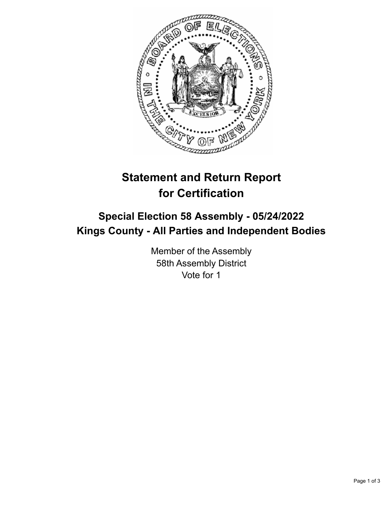

## **Statement and Return Report for Certification**

## **Special Election 58 Assembly - 05/24/2022 Kings County - All Parties and Independent Bodies**

Member of the Assembly 58th Assembly District Vote for 1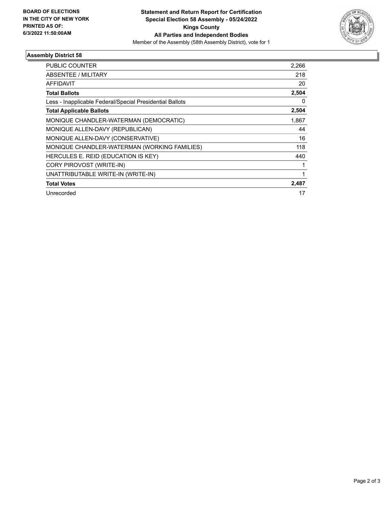

## **Assembly District 58**

| PUBLIC COUNTER                                           | 2,266 |
|----------------------------------------------------------|-------|
| <b>ABSENTEE / MILITARY</b>                               | 218   |
| AFFIDAVIT                                                | 20    |
| <b>Total Ballots</b>                                     | 2,504 |
| Less - Inapplicable Federal/Special Presidential Ballots | 0     |
| <b>Total Applicable Ballots</b>                          | 2,504 |
| MONIQUE CHANDLER-WATERMAN (DEMOCRATIC)                   | 1,867 |
| MONIQUE ALLEN-DAVY (REPUBLICAN)                          | 44    |
| MONIQUE ALLEN-DAVY (CONSERVATIVE)                        | 16    |
| MONIQUE CHANDLER-WATERMAN (WORKING FAMILIES)             | 118   |
| HERCULES E. REID (EDUCATION IS KEY)                      | 440   |
| CORY PIROVOST (WRITE-IN)                                 |       |
| UNATTRIBUTABLE WRITE-IN (WRITE-IN)                       |       |
| <b>Total Votes</b>                                       | 2,487 |
| Unrecorded                                               | 17    |